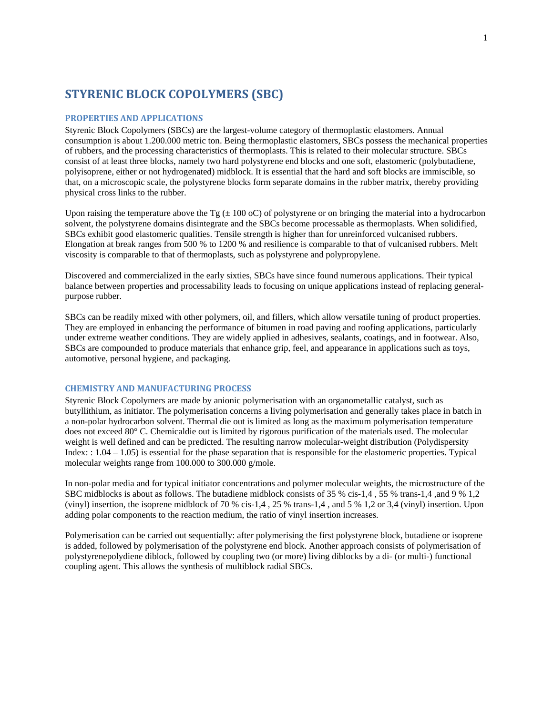## **STYRENIC BLOCK COPOLYMERS (SBC)**

## **PROPERTIES AND APPLICATIONS**

Styrenic Block Copolymers (SBCs) are the largest-volume category of thermoplastic elastomers. Annual consumption is about 1.200.000 metric ton. Being thermoplastic elastomers, SBCs possess the mechanical properties of rubbers, and the processing characteristics of thermoplasts. This is related to their molecular structure. SBCs consist of at least three blocks, namely two hard polystyrene end blocks and one soft, elastomeric (polybutadiene, polyisoprene, either or not hydrogenated) midblock. It is essential that the hard and soft blocks are immiscible, so that, on a microscopic scale, the polystyrene blocks form separate domains in the rubber matrix, thereby providing physical cross links to the rubber.

Upon raising the temperature above the Tg  $(\pm 100 \text{ oC})$  of polystyrene or on bringing the material into a hydrocarbon solvent, the polystyrene domains disintegrate and the SBCs become processable as thermoplasts. When solidified, SBCs exhibit good elastomeric qualities. Tensile strength is higher than for unreinforced vulcanised rubbers. Elongation at break ranges from 500 % to 1200 % and resilience is comparable to that of vulcanised rubbers. Melt viscosity is comparable to that of thermoplasts, such as polystyrene and polypropylene.

Discovered and commercialized in the early sixties, SBCs have since found numerous applications. Their typical balance between properties and processability leads to focusing on unique applications instead of replacing generalpurpose rubber.

SBCs can be readily mixed with other polymers, oil, and fillers, which allow versatile tuning of product properties. They are employed in enhancing the performance of bitumen in road paving and roofing applications, particularly under extreme weather conditions. They are widely applied in adhesives, sealants, coatings, and in footwear. Also, SBCs are compounded to produce materials that enhance grip, feel, and appearance in applications such as toys, automotive, personal hygiene, and packaging.

## **CHEMISTRY AND MANUFACTURING PROCESS**

Styrenic Block Copolymers are made by anionic polymerisation with an organometallic catalyst, such as butyllithium, as initiator. The polymerisation concerns a living polymerisation and generally takes place in batch in a non-polar hydrocarbon solvent. Thermal die out is limited as long as the maximum polymerisation temperature does not exceed 80° C. Chemicaldie out is limited by rigorous purification of the materials used. The molecular weight is well defined and can be predicted. The resulting narrow molecular-weight distribution (Polydispersity Index:  $1.04 - 1.05$ ) is essential for the phase separation that is responsible for the elastomeric properties. Typical molecular weights range from 100.000 to 300.000 g/mole.

In non-polar media and for typical initiator concentrations and polymer molecular weights, the microstructure of the SBC midblocks is about as follows. The butadiene midblock consists of 35 % cis-1,4 , 55 % trans-1,4 ,and 9 % 1,2 (vinyl) insertion, the isoprene midblock of 70 % cis-1,4 , 25 % trans-1,4 , and 5 % 1,2 or 3,4 (vinyl) insertion. Upon adding polar components to the reaction medium, the ratio of vinyl insertion increases.

Polymerisation can be carried out sequentially: after polymerising the first polystyrene block, butadiene or isoprene is added, followed by polymerisation of the polystyrene end block. Another approach consists of polymerisation of polystyrenepolydiene diblock, followed by coupling two (or more) living diblocks by a di- (or multi-) functional coupling agent. This allows the synthesis of multiblock radial SBCs.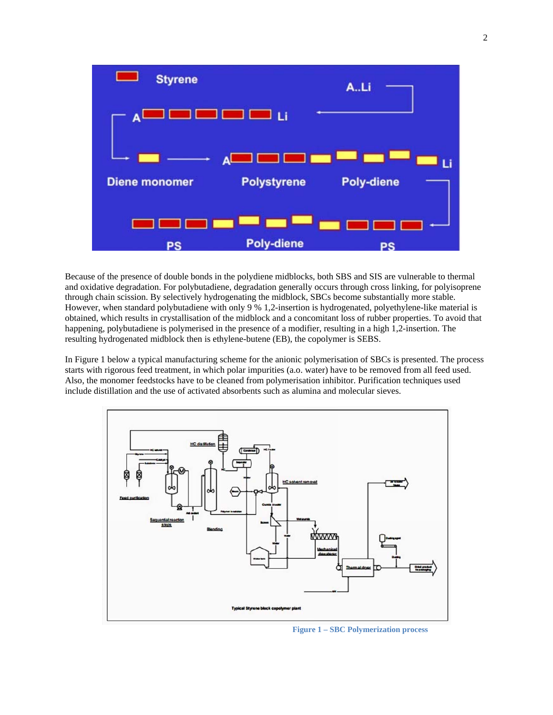

Because of the presence of double bonds in the polydiene midblocks, both SBS and SIS are vulnerable to thermal and oxidative degradation. For polybutadiene, degradation generally occurs through cross linking, for polyisoprene through chain scission. By selectively hydrogenating the midblock, SBCs become substantially more stable. However, when standard polybutadiene with only 9 % 1,2-insertion is hydrogenated, polyethylene-like material is obtained, which results in crystallisation of the midblock and a concomitant loss of rubber properties. To avoid that happening, polybutadiene is polymerised in the presence of a modifier, resulting in a high 1,2-insertion. The resulting hydrogenated midblock then is ethylene-butene (EB), the copolymer is SEBS.

In Figure 1 below a typical manufacturing scheme for the anionic polymerisation of SBCs is presented. The process starts with rigorous feed treatment, in which polar impurities (a.o. water) have to be removed from all feed used. Also, the monomer feedstocks have to be cleaned from polymerisation inhibitor. Purification techniques used include distillation and the use of activated absorbents such as alumina and molecular sieves.



 **Figure 1 – SBC Polymerization process**